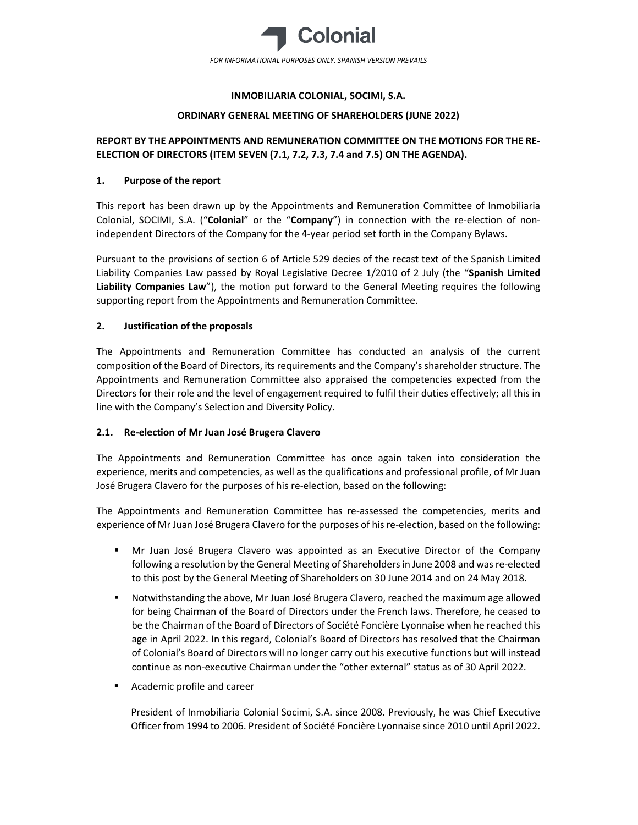

## INMOBILIARIA COLONIAL, SOCIMI, S.A.

### ORDINARY GENERAL MEETING OF SHAREHOLDERS (JUNE 2022)

# REPORT BY THE APPOINTMENTS AND REMUNERATION COMMITTEE ON THE MOTIONS FOR THE RE-ELECTION OF DIRECTORS (ITEM SEVEN (7.1, 7.2, 7.3, 7.4 and 7.5) ON THE AGENDA).

## 1. Purpose of the report

This report has been drawn up by the Appointments and Remuneration Committee of Inmobiliaria Colonial, SOCIMI, S.A. ("Colonial" or the "Company") in connection with the re-election of nonindependent Directors of the Company for the 4-year period set forth in the Company Bylaws.

Pursuant to the provisions of section 6 of Article 529 decies of the recast text of the Spanish Limited Liability Companies Law passed by Royal Legislative Decree 1/2010 of 2 July (the "Spanish Limited Liability Companies Law"), the motion put forward to the General Meeting requires the following supporting report from the Appointments and Remuneration Committee.

## 2. Justification of the proposals

The Appointments and Remuneration Committee has conducted an analysis of the current composition of the Board of Directors, its requirements and the Company's shareholder structure. The Appointments and Remuneration Committee also appraised the competencies expected from the Directors for their role and the level of engagement required to fulfil their duties effectively; all this in line with the Company's Selection and Diversity Policy.

#### 2.1. Re-election of Mr Juan José Brugera Clavero

The Appointments and Remuneration Committee has once again taken into consideration the experience, merits and competencies, as well as the qualifications and professional profile, of Mr Juan José Brugera Clavero for the purposes of his re-election, based on the following:

The Appointments and Remuneration Committee has re-assessed the competencies, merits and experience of Mr Juan José Brugera Clavero for the purposes of his re-election, based on the following:

- Mr Juan José Brugera Clavero was appointed as an Executive Director of the Company following a resolution by the General Meeting of Shareholders in June 2008 and was re-elected to this post by the General Meeting of Shareholders on 30 June 2014 and on 24 May 2018.
- Notwithstanding the above, Mr Juan José Brugera Clavero, reached the maximum age allowed for being Chairman of the Board of Directors under the French laws. Therefore, he ceased to be the Chairman of the Board of Directors of Société Foncière Lyonnaise when he reached this age in April 2022. In this regard, Colonial's Board of Directors has resolved that the Chairman of Colonial's Board of Directors will no longer carry out his executive functions but will instead continue as non-executive Chairman under the "other external" status as of 30 April 2022.
- Academic profile and career

President of Inmobiliaria Colonial Socimi, S.A. since 2008. Previously, he was Chief Executive Officer from 1994 to 2006. President of Société Foncière Lyonnaise since 2010 until April 2022.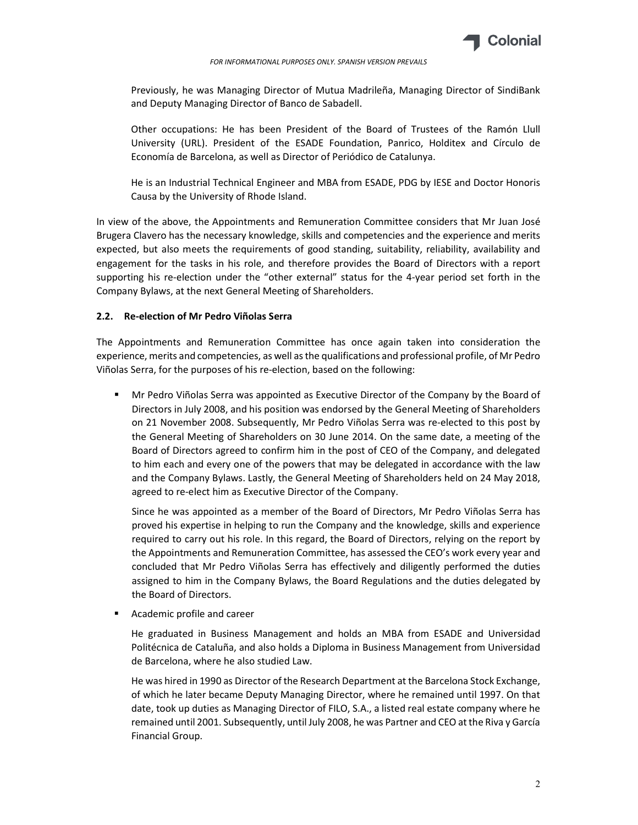

FOR INFORMATIONAL PURPOSES ONLY. SPANISH VERSION PREVAILS

Previously, he was Managing Director of Mutua Madrileña, Managing Director of SindiBank and Deputy Managing Director of Banco de Sabadell.

Other occupations: He has been President of the Board of Trustees of the Ramón Llull University (URL). President of the ESADE Foundation, Panrico, Holditex and Círculo de Economía de Barcelona, as well as Director of Periódico de Catalunya.

He is an Industrial Technical Engineer and MBA from ESADE, PDG by IESE and Doctor Honoris Causa by the University of Rhode Island.

In view of the above, the Appointments and Remuneration Committee considers that Mr Juan José Brugera Clavero has the necessary knowledge, skills and competencies and the experience and merits expected, but also meets the requirements of good standing, suitability, reliability, availability and engagement for the tasks in his role, and therefore provides the Board of Directors with a report supporting his re-election under the "other external" status for the 4-year period set forth in the Company Bylaws, at the next General Meeting of Shareholders.

#### 2.2. Re-election of Mr Pedro Viñolas Serra

The Appointments and Remuneration Committee has once again taken into consideration the experience, merits and competencies, as well as the qualifications and professional profile, of Mr Pedro Viñolas Serra, for the purposes of his re-election, based on the following:

 Mr Pedro Viñolas Serra was appointed as Executive Director of the Company by the Board of Directors in July 2008, and his position was endorsed by the General Meeting of Shareholders on 21 November 2008. Subsequently, Mr Pedro Viñolas Serra was re-elected to this post by the General Meeting of Shareholders on 30 June 2014. On the same date, a meeting of the Board of Directors agreed to confirm him in the post of CEO of the Company, and delegated to him each and every one of the powers that may be delegated in accordance with the law and the Company Bylaws. Lastly, the General Meeting of Shareholders held on 24 May 2018, agreed to re-elect him as Executive Director of the Company.

Since he was appointed as a member of the Board of Directors, Mr Pedro Viñolas Serra has proved his expertise in helping to run the Company and the knowledge, skills and experience required to carry out his role. In this regard, the Board of Directors, relying on the report by the Appointments and Remuneration Committee, has assessed the CEO's work every year and concluded that Mr Pedro Viñolas Serra has effectively and diligently performed the duties assigned to him in the Company Bylaws, the Board Regulations and the duties delegated by the Board of Directors.

Academic profile and career

He graduated in Business Management and holds an MBA from ESADE and Universidad Politécnica de Cataluña, and also holds a Diploma in Business Management from Universidad de Barcelona, where he also studied Law.

He was hired in 1990 as Director of the Research Department at the Barcelona Stock Exchange, of which he later became Deputy Managing Director, where he remained until 1997. On that date, took up duties as Managing Director of FILO, S.A., a listed real estate company where he remained until 2001. Subsequently, until July 2008, he was Partner and CEO at the Riva y García Financial Group.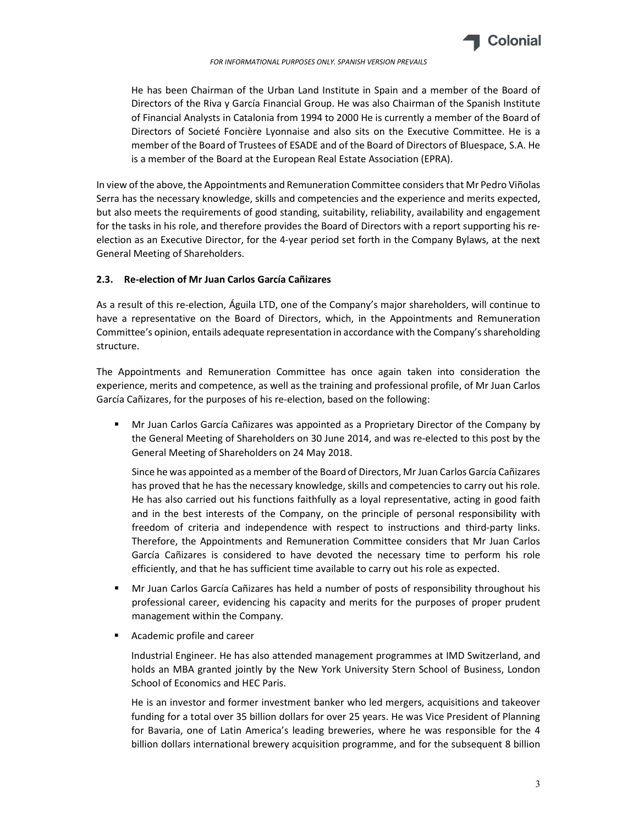

FOR INFORMATIONAL PURPOSES ONLY. SPANISH VERSION PREVAILS

He has been Chairman of the Urban Land Institute in Spain and a member of the Board of Directors of the Riva y García Financial Group. He was also Chairman of the Spanish Institute of Financial Analysts in Catalonia from 1994 to 2000 He is currently a member of the Board of Directors of Societé Foncière Lyonnaise and also sits on the Executive Committee. He is a member of the Board of Trustees of ESADE and of the Board of Directors of Bluespace, S.A. He is a member of the Board at the European Real Estate Association (EPRA).

In view of the above, the Appointments and Remuneration Committee considers that Mr Pedro Viñolas Serra has the necessary knowledge, skills and competencies and the experience and merits expected, but also meets the requirements of good standing, suitability, reliability, availability and engagement for the tasks in his role, and therefore provides the Board of Directors with a report supporting his reelection as an Executive Director, for the 4-year period set forth in the Company Bylaws, at the next General Meeting of Shareholders.

#### 2.3. Re-election of Mr Juan Carlos García Cañizares

As a result of this re-election, Águila LTD, one of the Company's major shareholders, will continue to have a representative on the Board of Directors, which, in the Appointments and Remuneration Committee's opinion, entails adequate representation in accordance with the Company's shareholding structure.

The Appointments and Remuneration Committee has once again taken into consideration the experience, merits and competence, as well as the training and professional profile, of Mr Juan Carlos García Cañizares, for the purposes of his re-election, based on the following:

 Mr Juan Carlos García Cañizares was appointed as a Proprietary Director of the Company by the General Meeting of Shareholders on 30 June 2014, and was re-elected to this post by the General Meeting of Shareholders on 24 May 2018.

Since he was appointed as a member of the Board of Directors, Mr Juan Carlos García Cañizares has proved that he has the necessary knowledge, skills and competencies to carry out his role. He has also carried out his functions faithfully as a loyal representative, acting in good faith and in the best interests of the Company, on the principle of personal responsibility with freedom of criteria and independence with respect to instructions and third-party links. Therefore, the Appointments and Remuneration Committee considers that Mr Juan Carlos García Cañizares is considered to have devoted the necessary time to perform his role efficiently, and that he has sufficient time available to carry out his role as expected.

- Mr Juan Carlos García Cañizares has held a number of posts of responsibility throughout his professional career, evidencing his capacity and merits for the purposes of proper prudent management within the Company.
- Academic profile and career

Industrial Engineer. He has also attended management programmes at IMD Switzerland, and holds an MBA granted jointly by the New York University Stern School of Business, London School of Economics and HEC Paris.

He is an investor and former investment banker who led mergers, acquisitions and takeover funding for a total over 35 billion dollars for over 25 years. He was Vice President of Planning for Bavaria, one of Latin America's leading breweries, where he was responsible for the 4 billion dollars international brewery acquisition programme, and for the subsequent 8 billion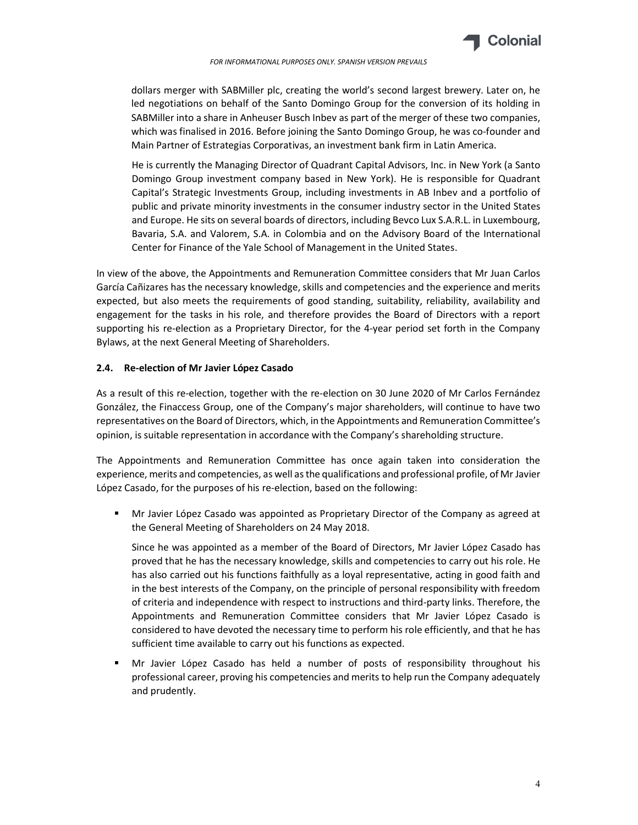

FOR INFORMATIONAL PURPOSES ONLY. SPANISH VERSION PREVAILS

dollars merger with SABMiller plc, creating the world's second largest brewery. Later on, he led negotiations on behalf of the Santo Domingo Group for the conversion of its holding in SABMiller into a share in Anheuser Busch Inbev as part of the merger of these two companies, which was finalised in 2016. Before joining the Santo Domingo Group, he was co-founder and Main Partner of Estrategias Corporativas, an investment bank firm in Latin America.

He is currently the Managing Director of Quadrant Capital Advisors, Inc. in New York (a Santo Domingo Group investment company based in New York). He is responsible for Quadrant Capital's Strategic Investments Group, including investments in AB Inbev and a portfolio of public and private minority investments in the consumer industry sector in the United States and Europe. He sits on several boards of directors, including Bevco Lux S.A.R.L. in Luxembourg, Bavaria, S.A. and Valorem, S.A. in Colombia and on the Advisory Board of the International Center for Finance of the Yale School of Management in the United States.

In view of the above, the Appointments and Remuneration Committee considers that Mr Juan Carlos García Cañizares has the necessary knowledge, skills and competencies and the experience and merits expected, but also meets the requirements of good standing, suitability, reliability, availability and engagement for the tasks in his role, and therefore provides the Board of Directors with a report supporting his re-election as a Proprietary Director, for the 4-year period set forth in the Company Bylaws, at the next General Meeting of Shareholders.

#### 2.4. Re-election of Mr Javier López Casado

As a result of this re-election, together with the re-election on 30 June 2020 of Mr Carlos Fernández González, the Finaccess Group, one of the Company's major shareholders, will continue to have two representatives on the Board of Directors, which, in the Appointments and Remuneration Committee's opinion, is suitable representation in accordance with the Company's shareholding structure.

The Appointments and Remuneration Committee has once again taken into consideration the experience, merits and competencies, as well as the qualifications and professional profile, of Mr Javier López Casado, for the purposes of his re-election, based on the following:

 Mr Javier López Casado was appointed as Proprietary Director of the Company as agreed at the General Meeting of Shareholders on 24 May 2018.

Since he was appointed as a member of the Board of Directors, Mr Javier López Casado has proved that he has the necessary knowledge, skills and competencies to carry out his role. He has also carried out his functions faithfully as a loyal representative, acting in good faith and in the best interests of the Company, on the principle of personal responsibility with freedom of criteria and independence with respect to instructions and third-party links. Therefore, the Appointments and Remuneration Committee considers that Mr Javier López Casado is considered to have devoted the necessary time to perform his role efficiently, and that he has sufficient time available to carry out his functions as expected.

 Mr Javier López Casado has held a number of posts of responsibility throughout his professional career, proving his competencies and merits to help run the Company adequately and prudently.